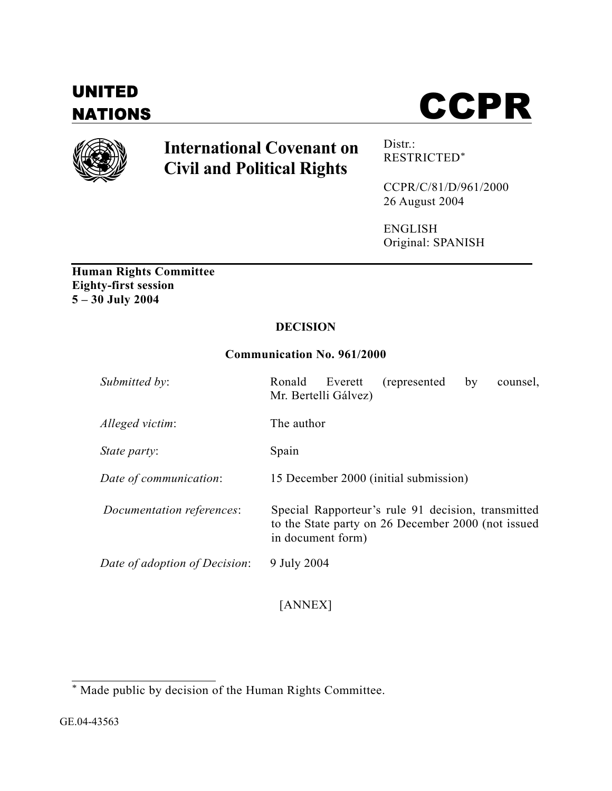# UNITED





# **International Covenant on Civil and Political Rights**

Distr.: RESTRICTED\*

CCPR/C/81/D/961/2000 26 August 2004

ENGLISH Original: SPANISH

**Human Rights Committee Eighty-first session 5 – 30 July 2004** 

# **DECISION**

# **Communication No. 961/2000**

| Submitted by:                 | Ronald<br>(represented)<br>Everett<br>by<br>counsel.<br>Mr. Bertelli Gálvez)                                                  |
|-------------------------------|-------------------------------------------------------------------------------------------------------------------------------|
| Alleged victim:               | The author                                                                                                                    |
| <i>State party:</i>           | Spain                                                                                                                         |
| Date of communication:        | 15 December 2000 (initial submission)                                                                                         |
| Documentation references:     | Special Rapporteur's rule 91 decision, transmitted<br>to the State party on 26 December 2000 (not issued<br>in document form) |
| Date of adoption of Decision: | 9 July 2004                                                                                                                   |

[ANNEX]

 \* Made public by decision of the Human Rights Committee.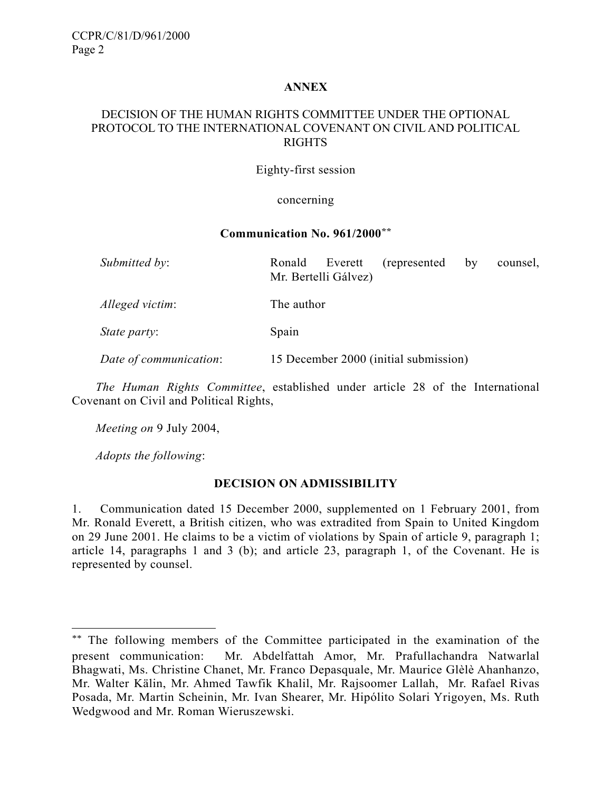# **ANNEX**

# DECISION OF THE HUMAN RIGHTS COMMITTEE UNDER THE OPTIONAL PROTOCOL TO THE INTERNATIONAL COVENANT ON CIVIL AND POLITICAL RIGHTS

#### Eighty-first session

#### concerning

#### **Communication No. 961/2000\*\***

| Submitted by:          | Everett<br>(represented)<br>Ronald<br>by<br>counsel,<br>Mr. Bertelli Gálvez) |
|------------------------|------------------------------------------------------------------------------|
| Alleged victim:        | The author                                                                   |
| <i>State party:</i>    | Spain                                                                        |
| Date of communication: | 15 December 2000 (initial submission)                                        |

*The Human Rights Committee*, established under article 28 of the International Covenant on Civil and Political Rights,

*Meeting on* 9 July 2004,

*Adopts the following*:

l

#### **DECISION ON ADMISSIBILITY**

1. Communication dated 15 December 2000, supplemented on 1 February 2001, from Mr. Ronald Everett, a British citizen, who was extradited from Spain to United Kingdom on 29 June 2001. He claims to be a victim of violations by Spain of article 9, paragraph 1; article 14, paragraphs 1 and 3 (b); and article 23, paragraph 1, of the Covenant. He is represented by counsel.

<sup>\*\*</sup> The following members of the Committee participated in the examination of the present communication: Mr. Abdelfattah Amor, Mr. Prafullachandra Natwarlal Bhagwati, Ms. Christine Chanet, Mr. Franco Depasquale, Mr. Maurice Glèlè Ahanhanzo, Mr. Walter Kälin, Mr. Ahmed Tawfik Khalil, Mr. Rajsoomer Lallah, Mr. Rafael Rivas Posada, Mr. Martin Scheinin, Mr. Ivan Shearer, Mr. Hipólito Solari Yrigoyen, Ms. Ruth Wedgwood and Mr. Roman Wieruszewski.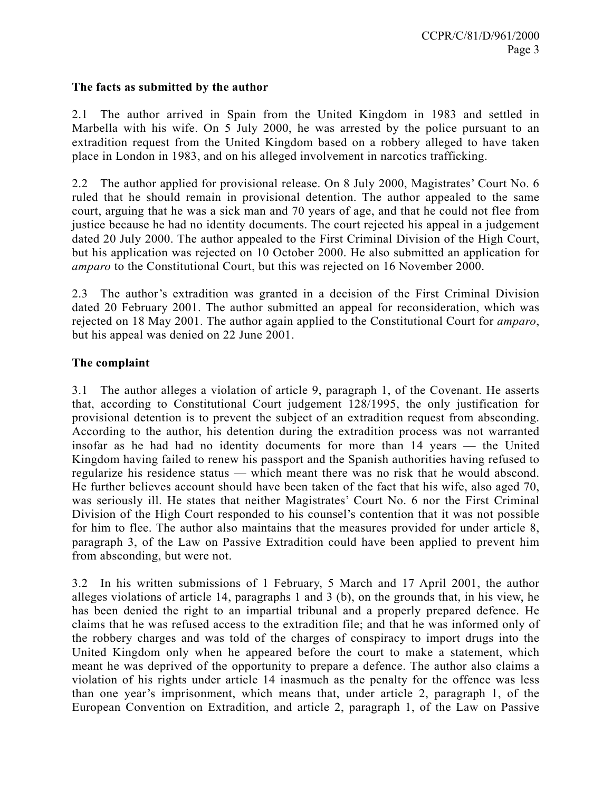# **The facts as submitted by the author**

2.1 The author arrived in Spain from the United Kingdom in 1983 and settled in Marbella with his wife. On 5 July 2000, he was arrested by the police pursuant to an extradition request from the United Kingdom based on a robbery alleged to have taken place in London in 1983, and on his alleged involvement in narcotics trafficking.

2.2 The author applied for provisional release. On 8 July 2000, Magistrates' Court No. 6 ruled that he should remain in provisional detention. The author appealed to the same court, arguing that he was a sick man and 70 years of age, and that he could not flee from justice because he had no identity documents. The court rejected his appeal in a judgement dated 20 July 2000. The author appealed to the First Criminal Division of the High Court, but his application was rejected on 10 October 2000. He also submitted an application for *amparo* to the Constitutional Court, but this was rejected on 16 November 2000.

2.3 The author's extradition was granted in a decision of the First Criminal Division dated 20 February 2001. The author submitted an appeal for reconsideration, which was rejected on 18 May 2001. The author again applied to the Constitutional Court for *amparo*, but his appeal was denied on 22 June 2001.

# **The complaint**

3.1 The author alleges a violation of article 9, paragraph 1, of the Covenant. He asserts that, according to Constitutional Court judgement 128/1995, the only justification for provisional detention is to prevent the subject of an extradition request from absconding. According to the author, his detention during the extradition process was not warranted insofar as he had had no identity documents for more than 14 years — the United Kingdom having failed to renew his passport and the Spanish authorities having refused to regularize his residence status — which meant there was no risk that he would abscond. He further believes account should have been taken of the fact that his wife, also aged 70, was seriously ill. He states that neither Magistrates' Court No. 6 nor the First Criminal Division of the High Court responded to his counsel's contention that it was not possible for him to flee. The author also maintains that the measures provided for under article 8, paragraph 3, of the Law on Passive Extradition could have been applied to prevent him from absconding, but were not.

3.2 In his written submissions of 1 February, 5 March and 17 April 2001, the author alleges violations of article 14, paragraphs 1 and 3 (b), on the grounds that, in his view, he has been denied the right to an impartial tribunal and a properly prepared defence. He claims that he was refused access to the extradition file; and that he was informed only of the robbery charges and was told of the charges of conspiracy to import drugs into the United Kingdom only when he appeared before the court to make a statement, which meant he was deprived of the opportunity to prepare a defence. The author also claims a violation of his rights under article 14 inasmuch as the penalty for the offence was less than one year's imprisonment, which means that, under article 2, paragraph 1, of the European Convention on Extradition, and article 2, paragraph 1, of the Law on Passive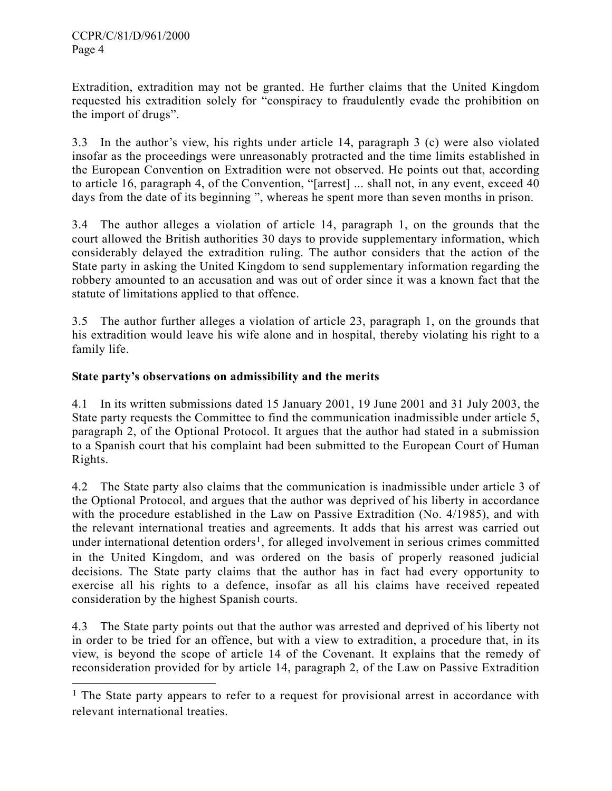$\overline{a}$ 

Extradition, extradition may not be granted. He further claims that the United Kingdom requested his extradition solely for "conspiracy to fraudulently evade the prohibition on the import of drugs".

3.3 In the author's view, his rights under article 14, paragraph 3 (c) were also violated insofar as the proceedings were unreasonably protracted and the time limits established in the European Convention on Extradition were not observed. He points out that, according to article 16, paragraph 4, of the Convention, "[arrest] ... shall not, in any event, exceed 40 days from the date of its beginning ", whereas he spent more than seven months in prison.

3.4 The author alleges a violation of article 14, paragraph 1, on the grounds that the court allowed the British authorities 30 days to provide supplementary information, which considerably delayed the extradition ruling. The author considers that the action of the State party in asking the United Kingdom to send supplementary information regarding the robbery amounted to an accusation and was out of order since it was a known fact that the statute of limitations applied to that offence.

3.5 The author further alleges a violation of article 23, paragraph 1, on the grounds that his extradition would leave his wife alone and in hospital, thereby violating his right to a family life.

# **State party's observations on admissibility and the merits**

4.1 In its written submissions dated 15 January 2001, 19 June 2001 and 31 July 2003, the State party requests the Committee to find the communication inadmissible under article 5, paragraph 2, of the Optional Protocol. It argues that the author had stated in a submission to a Spanish court that his complaint had been submitted to the European Court of Human Rights.

4.2 The State party also claims that the communication is inadmissible under article 3 of the Optional Protocol, and argues that the author was deprived of his liberty in accordance with the procedure established in the Law on Passive Extradition (No. 4/1985), and with the relevant international treaties and agreements. It adds that his arrest was carried out under international detention orders<sup>1</sup>, for alleged involvement in serious crimes committed in the United Kingdom, and was ordered on the basis of properly reasoned judicial decisions. The State party claims that the author has in fact had every opportunity to exercise all his rights to a defence, insofar as all his claims have received repeated consideration by the highest Spanish courts.

4.3 The State party points out that the author was arrested and deprived of his liberty not in order to be tried for an offence, but with a view to extradition, a procedure that, in its view, is beyond the scope of article 14 of the Covenant. It explains that the remedy of reconsideration provided for by article 14, paragraph 2, of the Law on Passive Extradition

<sup>&</sup>lt;sup>1</sup> The State party appears to refer to a request for provisional arrest in accordance with relevant international treaties.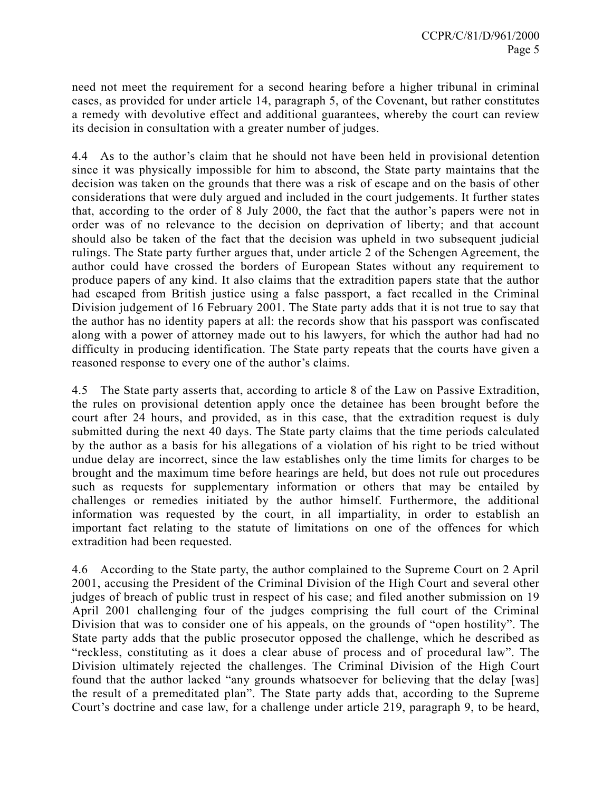need not meet the requirement for a second hearing before a higher tribunal in criminal cases, as provided for under article 14, paragraph 5, of the Covenant, but rather constitutes a remedy with devolutive effect and additional guarantees, whereby the court can review its decision in consultation with a greater number of judges.

4.4 As to the author's claim that he should not have been held in provisional detention since it was physically impossible for him to abscond, the State party maintains that the decision was taken on the grounds that there was a risk of escape and on the basis of other considerations that were duly argued and included in the court judgements. It further states that, according to the order of 8 July 2000, the fact that the author's papers were not in order was of no relevance to the decision on deprivation of liberty; and that account should also be taken of the fact that the decision was upheld in two subsequent judicial rulings. The State party further argues that, under article 2 of the Schengen Agreement, the author could have crossed the borders of European States without any requirement to produce papers of any kind. It also claims that the extradition papers state that the author had escaped from British justice using a false passport, a fact recalled in the Criminal Division judgement of 16 February 2001. The State party adds that it is not true to say that the author has no identity papers at all: the records show that his passport was confiscated along with a power of attorney made out to his lawyers, for which the author had had no difficulty in producing identification. The State party repeats that the courts have given a reasoned response to every one of the author's claims.

4.5 The State party asserts that, according to article 8 of the Law on Passive Extradition, the rules on provisional detention apply once the detainee has been brought before the court after 24 hours, and provided, as in this case, that the extradition request is duly submitted during the next 40 days. The State party claims that the time periods calculated by the author as a basis for his allegations of a violation of his right to be tried without undue delay are incorrect, since the law establishes only the time limits for charges to be brought and the maximum time before hearings are held, but does not rule out procedures such as requests for supplementary information or others that may be entailed by challenges or remedies initiated by the author himself. Furthermore, the additional information was requested by the court, in all impartiality, in order to establish an important fact relating to the statute of limitations on one of the offences for which extradition had been requested.

4.6 According to the State party, the author complained to the Supreme Court on 2 April 2001, accusing the President of the Criminal Division of the High Court and several other judges of breach of public trust in respect of his case; and filed another submission on 19 April 2001 challenging four of the judges comprising the full court of the Criminal Division that was to consider one of his appeals, on the grounds of "open hostility". The State party adds that the public prosecutor opposed the challenge, which he described as "reckless, constituting as it does a clear abuse of process and of procedural law". The Division ultimately rejected the challenges. The Criminal Division of the High Court found that the author lacked "any grounds whatsoever for believing that the delay [was] the result of a premeditated plan". The State party adds that, according to the Supreme Court's doctrine and case law, for a challenge under article 219, paragraph 9, to be heard,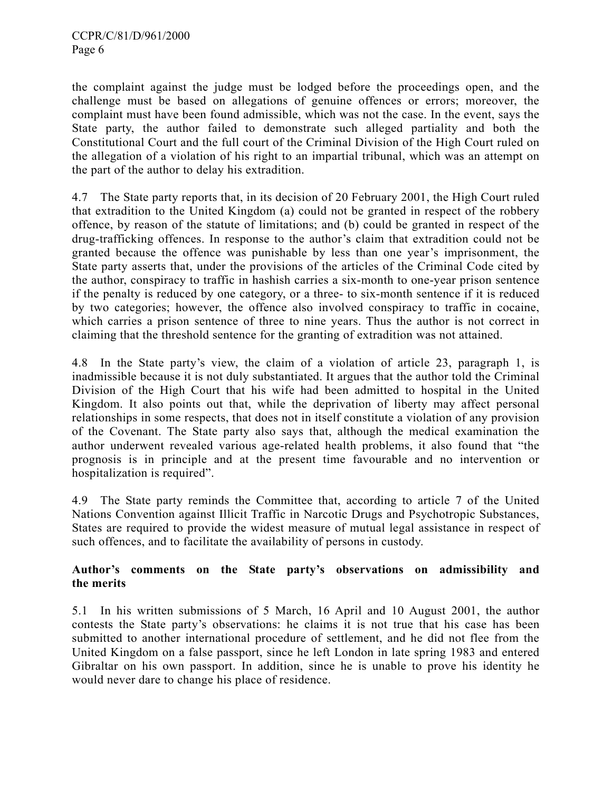the complaint against the judge must be lodged before the proceedings open, and the challenge must be based on allegations of genuine offences or errors; moreover, the complaint must have been found admissible, which was not the case. In the event, says the State party, the author failed to demonstrate such alleged partiality and both the Constitutional Court and the full court of the Criminal Division of the High Court ruled on the allegation of a violation of his right to an impartial tribunal, which was an attempt on the part of the author to delay his extradition.

4.7 The State party reports that, in its decision of 20 February 2001, the High Court ruled that extradition to the United Kingdom (a) could not be granted in respect of the robbery offence, by reason of the statute of limitations; and (b) could be granted in respect of the drug-trafficking offences. In response to the author's claim that extradition could not be granted because the offence was punishable by less than one year's imprisonment, the State party asserts that, under the provisions of the articles of the Criminal Code cited by the author, conspiracy to traffic in hashish carries a six-month to one-year prison sentence if the penalty is reduced by one category, or a three- to six-month sentence if it is reduced by two categories; however, the offence also involved conspiracy to traffic in cocaine, which carries a prison sentence of three to nine years. Thus the author is not correct in claiming that the threshold sentence for the granting of extradition was not attained.

4.8 In the State party's view, the claim of a violation of article 23, paragraph 1, is inadmissible because it is not duly substantiated. It argues that the author told the Criminal Division of the High Court that his wife had been admitted to hospital in the United Kingdom. It also points out that, while the deprivation of liberty may affect personal relationships in some respects, that does not in itself constitute a violation of any provision of the Covenant. The State party also says that, although the medical examination the author underwent revealed various age-related health problems, it also found that "the prognosis is in principle and at the present time favourable and no intervention or hospitalization is required".

4.9 The State party reminds the Committee that, according to article 7 of the United Nations Convention against Illicit Traffic in Narcotic Drugs and Psychotropic Substances, States are required to provide the widest measure of mutual legal assistance in respect of such offences, and to facilitate the availability of persons in custody.

# **Author's comments on the State party's observations on admissibility and the merits**

5.1 In his written submissions of 5 March, 16 April and 10 August 2001, the author contests the State party's observations: he claims it is not true that his case has been submitted to another international procedure of settlement, and he did not flee from the United Kingdom on a false passport, since he left London in late spring 1983 and entered Gibraltar on his own passport. In addition, since he is unable to prove his identity he would never dare to change his place of residence.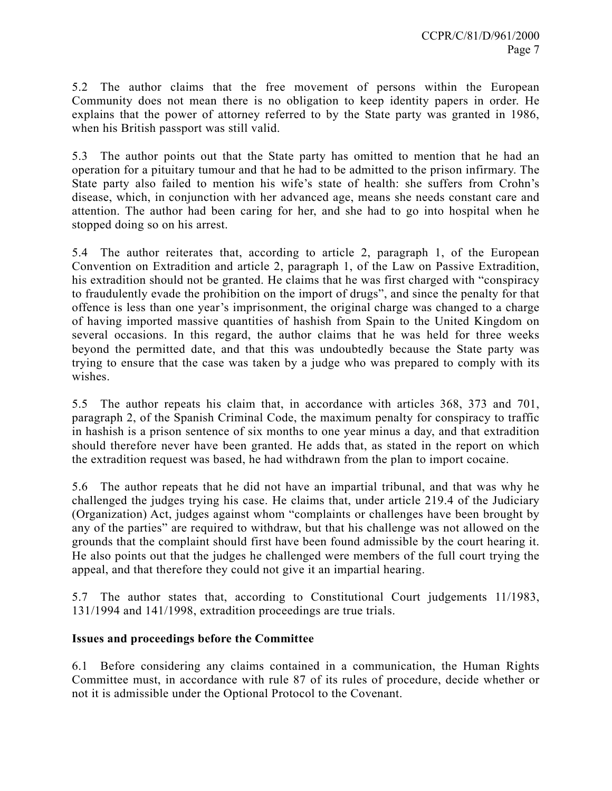5.2 The author claims that the free movement of persons within the European Community does not mean there is no obligation to keep identity papers in order. He explains that the power of attorney referred to by the State party was granted in 1986, when his British passport was still valid.

5.3 The author points out that the State party has omitted to mention that he had an operation for a pituitary tumour and that he had to be admitted to the prison infirmary. The State party also failed to mention his wife's state of health: she suffers from Crohn's disease, which, in conjunction with her advanced age, means she needs constant care and attention. The author had been caring for her, and she had to go into hospital when he stopped doing so on his arrest.

5.4 The author reiterates that, according to article 2, paragraph 1, of the European Convention on Extradition and article 2, paragraph 1, of the Law on Passive Extradition, his extradition should not be granted. He claims that he was first charged with "conspiracy to fraudulently evade the prohibition on the import of drugs", and since the penalty for that offence is less than one year's imprisonment, the original charge was changed to a charge of having imported massive quantities of hashish from Spain to the United Kingdom on several occasions. In this regard, the author claims that he was held for three weeks beyond the permitted date, and that this was undoubtedly because the State party was trying to ensure that the case was taken by a judge who was prepared to comply with its wishes.

5.5 The author repeats his claim that, in accordance with articles 368, 373 and 701, paragraph 2, of the Spanish Criminal Code, the maximum penalty for conspiracy to traffic in hashish is a prison sentence of six months to one year minus a day, and that extradition should therefore never have been granted. He adds that, as stated in the report on which the extradition request was based, he had withdrawn from the plan to import cocaine.

5.6 The author repeats that he did not have an impartial tribunal, and that was why he challenged the judges trying his case. He claims that, under article 219.4 of the Judiciary (Organization) Act, judges against whom "complaints or challenges have been brought by any of the parties" are required to withdraw, but that his challenge was not allowed on the grounds that the complaint should first have been found admissible by the court hearing it. He also points out that the judges he challenged were members of the full court trying the appeal, and that therefore they could not give it an impartial hearing.

5.7 The author states that, according to Constitutional Court judgements 11/1983, 131/1994 and 141/1998, extradition proceedings are true trials.

# **Issues and proceedings before the Committee**

6.1 Before considering any claims contained in a communication, the Human Rights Committee must, in accordance with rule 87 of its rules of procedure, decide whether or not it is admissible under the Optional Protocol to the Covenant.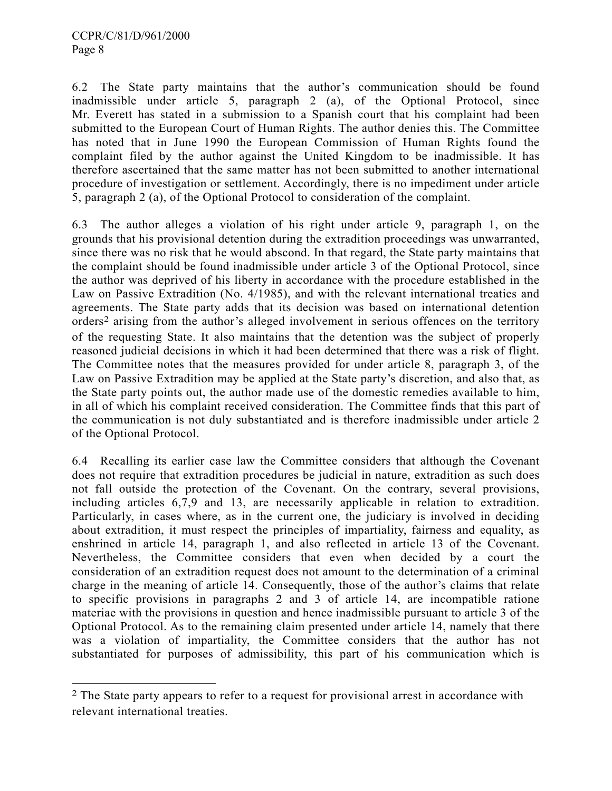$\overline{a}$ 

6.2 The State party maintains that the author's communication should be found inadmissible under article 5, paragraph 2 (a), of the Optional Protocol, since Mr. Everett has stated in a submission to a Spanish court that his complaint had been submitted to the European Court of Human Rights. The author denies this. The Committee has noted that in June 1990 the European Commission of Human Rights found the complaint filed by the author against the United Kingdom to be inadmissible. It has therefore ascertained that the same matter has not been submitted to another international procedure of investigation or settlement. Accordingly, there is no impediment under article 5, paragraph 2 (a), of the Optional Protocol to consideration of the complaint.

6.3 The author alleges a violation of his right under article 9, paragraph 1, on the grounds that his provisional detention during the extradition proceedings was unwarranted, since there was no risk that he would abscond. In that regard, the State party maintains that the complaint should be found inadmissible under article 3 of the Optional Protocol, since the author was deprived of his liberty in accordance with the procedure established in the Law on Passive Extradition (No. 4/1985), and with the relevant international treaties and agreements. The State party adds that its decision was based on international detention orders2 arising from the author's alleged involvement in serious offences on the territory of the requesting State. It also maintains that the detention was the subject of properly reasoned judicial decisions in which it had been determined that there was a risk of flight. The Committee notes that the measures provided for under article 8, paragraph 3, of the Law on Passive Extradition may be applied at the State party's discretion, and also that, as the State party points out, the author made use of the domestic remedies available to him, in all of which his complaint received consideration. The Committee finds that this part of the communication is not duly substantiated and is therefore inadmissible under article 2 of the Optional Protocol.

6.4 Recalling its earlier case law the Committee considers that although the Covenant does not require that extradition procedures be judicial in nature, extradition as such does not fall outside the protection of the Covenant. On the contrary, several provisions, including articles 6,7,9 and 13, are necessarily applicable in relation to extradition. Particularly, in cases where, as in the current one, the judiciary is involved in deciding about extradition, it must respect the principles of impartiality, fairness and equality, as enshrined in article 14, paragraph 1, and also reflected in article 13 of the Covenant. Nevertheless, the Committee considers that even when decided by a court the consideration of an extradition request does not amount to the determination of a criminal charge in the meaning of article 14. Consequently, those of the author's claims that relate to specific provisions in paragraphs 2 and 3 of article 14, are incompatible ratione materiae with the provisions in question and hence inadmissible pursuant to article 3 of the Optional Protocol. As to the remaining claim presented under article 14, namely that there was a violation of impartiality, the Committee considers that the author has not substantiated for purposes of admissibility, this part of his communication which is

<sup>&</sup>lt;sup>2</sup> The State party appears to refer to a request for provisional arrest in accordance with relevant international treaties.